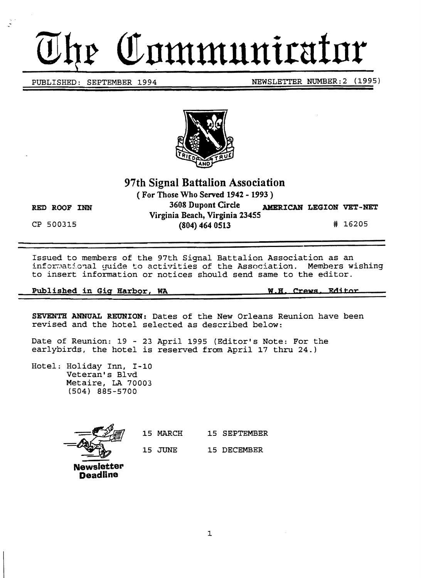# *Communicator*

PUBLISHED: SEPTEMBER 1994 NEWSLETTER NUMBER: 2 (1995)



# 97th Signal Battalion Association

(For Those Who Served 1942 - 1993)

 $\mathcal{L}_{\mathbf{z}}$ 

RED ROOF INN 3608 Dupont Circle AMERICAN LEGION VET-NET Virginia Beach, Virginia 23455 CP 500315 (804) 464 0513 # 16205

Issued to members of the 97th Signal Battalion Association as an informational guide to activities of the Association. Members wishing to insert information or notices should send same to the editor.

Published in Gig Harbor, WA W.B. Crews Editor

SEVENTH ANNUAL REUNION: Dates of the New Orleans Reunion have been revised and the hotel selected as described below:

Date of Reunion: 19 - 23 April 1995 (Editor's Note: For the earlybirds, the hotel is reserved from April 17 thru 24.)

Hotel: Holiday Inn, I-10 Veteran's Blvd Metaire, LA 70003 (504) 885-5700

 $\vec{x}$  $\frac{15 \text{ MHz}}{15 \text{ JUNE}}$  15 JUNE 15 DECEMBER **Newsletter** 

**Deadline** 

15 MARCH 15 SEPTEMBER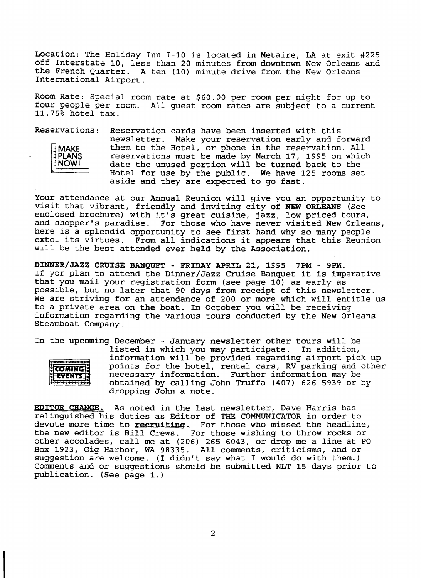Location: The Holiday Inn I-10 is located in Metaire, LA at exit #225 off Interstate 10, less than 20 minutes from downtown New Orleans and the French Quarter. A ten (10) minute drive from the New Orleans International Airport.

Room Rate: Special room rate at \$60.00 per room per night for up to four people per room. All guest room rates are subject to a current 11.75% hotel tax.

Reservations: Reservation cards have been inserted with this newsletter. Make your reservation early and forward MAKE them to the Hotel, or phone in the reservation. All<br>PLANS reservations must be made by March 17, 1995 on which PLANS reservations must be made by March 17, 1995 on which<br>NOW! date the unused portion will be turned back to the date the unused portion will be turned back to the Hotel for use by the public. We have 125 rooms set aside and they are expected to go fast.

Your attendance at our Annual Reunion will give you an opportunity to visit that vibrant, friendly and inviting city of NEW ORLEANS (See enclosed brochure) with it's great cuisine, jazz, low priced tours, and shopper's paradise. For those who have never visited New Orleans, here is a splendid opportunity to see first hand why so many people extol its virtues. From all indications it appears that this Reunion will be the best attended ever held by the Association.

DINNER/JAZZ CRUISE BANQUFT - FRIDAY APRIL 21, 1995 7PM - 9PM. If yor plan to attend the Dinner/Jazz Cruise Banquet it is imperative that you mail your registration form (see page 10) as early as possible, but no later that 90 days from receipt of this newsletter. We are striving for an attendance of 200 or more which will entitle us to a private area on the boat. In October you will be receiving information regarding the various tours conducted by the New Orleans Steamboat Company.

In the upcoming December - January newsletter other tours will be listed in which you may participate. In addition, information will be provided regarding airport pick up  $00000000000000$ points for the hotel, rental cars, RV parking and other COMING necessary information. Further information may be EVENTE obtained by calling John Truffa (407) 626-5939 or by 000000000000 dropping John a note.

EDITOR CHANGE. As noted in the last newsletter, Dave Harris has relinguished his duties as Editor of THE COMMUNICATOR in order to devote more time to **recruiting.** For those who missed the headline, the new editor is Bill Crews. For those wishing to throw rocks or For those wishing to throw rocks or other accolades, call me at (206) 265 6043, or drop me a line at PO Box 1923, Gig Harbor, WA 98335. All comments, criticisms, and or suggestion are welcome. (I didn't say what I would do with them.) Comments and or suggestions should be submitted NLT 15 days prior to publication. (See page 1.)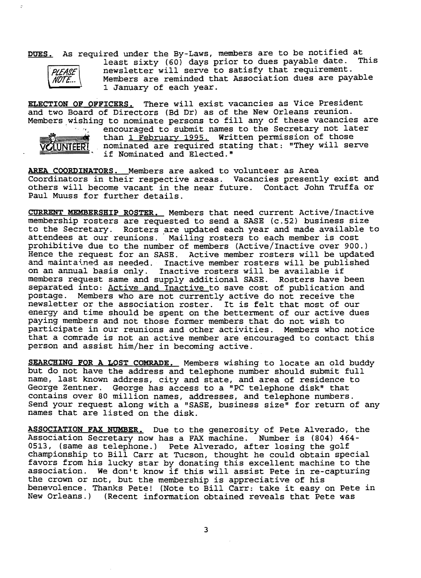DUES. As required under the By-Laws, members are to be notified at . This least sixty (60) days prior to dues payable date. PLEASE newsletter will serve to satisfy that requirement.<br>NOTE... Members are reminded that Association dues are pay Members are reminded that Association dues are payable <sup>1</sup>January of each year.

**ELECTION OF OFFICERS.** There will exist vacancies as Vice President and two Board of Directors (Bd Dr) as of the New Orleans reunion. Members wishing to nominate persons to fill any of these vacancies are



 $\overline{z}$ 

encouraged to submit names to the Secretary not later than 1 February 1995. Written permission of those nominated are required stating that: "They will serve if Nominated and Elected."

AREA COORDINATORS. Members are asked to volunteer as Area Coordinators in their respective areas. Vacancies presently exist and others will become vacant in the near future. Contact John Truffa or Paul Muuss for further details.

CURRENT MEMBERSHIP ROSTER. Members that need current Active/Inactive membership rosters are requested to send a SASE (c.52) business size to the Secretary. Rosters are updated each year and made available to attendees at our reunions. Mailing rosters to each member is cost prohibitive due to the number of members (Active/Inactive over 900.) Hence the request for an SASE. Active member rosters will be updated and maintained as needed. Inactive member rosters will be published on an annual basis only. Inactive rosters will be available if members request same and supply additional SASE. Rosters have been separated into: Active and Inactive to save cost of publication and postage. Members who are not currently active do not receive the postage. Members who are not currently active do not receive the<br>newsletter or the association roster. It is felt that most of our energy and time should be spent on the betterment of our active dues paying members and not those former members that do not wish to participate in our reunions and other activities. Members who notice that a comrade is not an active member are encouraged to contact this person and assist him/her in becoming active.

SEARCHING FOR A LOST COMRADE. Members wishing to locate an old buddy but do not have the address and telephone number should submit full name, last known address, city and state, and area of residence to George Zentner. George has access to a "PC telephone disk" that contains over 80 million names, addresses, and telephone numbers. Send your request along with a "SASE, business size" for return of any names that are listed on the disk.

ASSOCIATION FAX NUMBER. Due to the generosity of Pete Alverado, the Association Secretary now has a FAX machine. Number is (804) 464 0513, (same as telephone.) Pete Alverado, after losing the golf championship to Bill Carr at Tucson, thought he could obtain special favors from his lucky star by donating this excellent machine to the association. We don't know if this will assist Pete in re-capturing the crown or not, but the membership is appreciative of his benevolence. Thanks Pete! (Note to Bill Carr: take it easy on Pete in New Orleans.) (Recent information obtained reveals that Pete was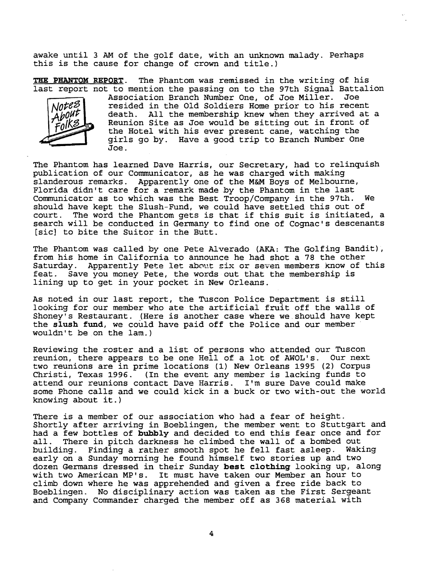awake until 3 AM of the golf date, with an unknown malady. Perhaps this is the cause for change of crown and title.)

THE PHANTOM REPORT. The Phantom was remissed in the writing of his last report not to mention the passing on to the 97th Signal Battalion



Association Branch Number One, of Joe Miller. Joe resided in the Old Soldiers Home prior to his recent death. All the membership knew when they arrived at a Reunion Site as Joe would be sitting out in front of the Hotel with his ever present cane, watching the girls go by. Have a good trip to Branch Number One Joe.

The Phantom has learned Dave Harris, our Secretary, had to relinquish publication of our Communicator, as he was charged with making slanderous remarks. Apparently one of the M&M Boys of Melbourne, Florida didn't care for a remark made by the Phantom in the last Communicator as to which was the Best Troop/Company in the 97th. We should have kept the Slush-Fund, we could have settled this out of court. The word the Phantom gets is that if this suit is initiated The word the Phantom gets is that if this suit is initiated, a search will be conducted in Germany to find one of Cognac's descenants [sic] to bite the Suitor in the Butt.

The Phantom was called by one Pete Alverado (AKA: The Golfing Bandit), from his home in California to announce he had shot a 78 the other If the first next in california to announce he had shot a 70 cm centre. feat. Save you money Pete, the words out that the membership is lining up to get in your pocket in New Orleans.

As noted in our last report, the Tuscon Police Department is still looking for our member who ate the artificial fruit off the walls of Shoney's Restaurant. (Here is another case where we. should have kept the slush fund, we could have paid off the Police and our member wouldn't be on the lam.)

Reviewing the roster and a list of persons who attended our Tuscon reunion, there appears to be one Hell of a lot of AWOL's. Our next two reunions are in prime locations (1) New Orleans 1995 (2) Corpus Christi, Texas 1996. (In the event any member is lacking funds to attend our reunions contact Dave Harris. I'm sure Dave could make some Phone calls and we could kick in a buck or two with-out the world knowing about it.)

There is a member of our association who had a fear of height. Shortly after arriving in Boeblingen, the member went to Stuttgart and had a few bottles of bubbly and decided to end this fear once and for all. There in pitch darkness he climbed the wall of a bombed out building. Finding a rather smooth spot he fell fast asleep. Waking Finding a rather smooth spot he fell fast asleep. early on a Sunday morning he found himself two stories up and two dozen Germans dressed in their Sunday best clothing looking up, along with two American MP's. It must have taken our Member an hour to climb down where he was apprehended and given a free ride back to Boeblingen. No disciplinary action was taken as the First Sergeant and Company Commander charged the member off as 368 material with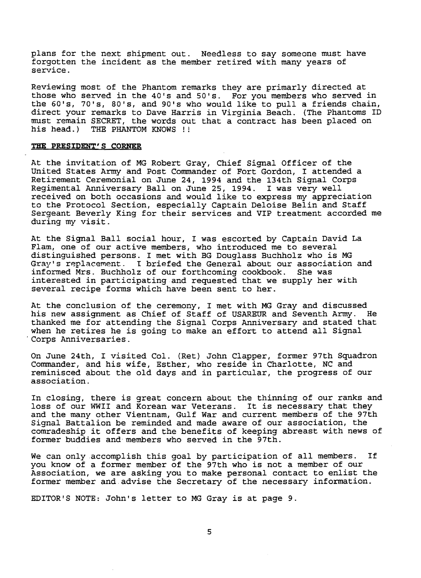plans for the next shipment out. Needless to say someone must have forgotten the incident as the member retired with many years of service.

Reviewing most of the Phantom remarks they are primarly directed at those who served in the 40's and 50's. For you members who served in the 60's, 70's, 80's, and 90's who would like to pull a friends chain, direct your remarks to Dave Harris in Virginia Beach. (The Phantoms ID must remain SECRET, the words out that a contract has been placed on his head.) THE PHANTOM KNOWS !!

#### **THE PRESIDENT'S CORNER**

At the invitation of MG Robert Gray, Chief Signal Officer of the United States Army and Post Commander of Fort Gordon, I attended a Retirement Ceremonial on June 24, 1994 and the 134th Signal Corps Regimental Anniversary BaIlon June 25, 1994. I was very well received on both occasions and would like to express my appreciation to the Protocol Section, especially Captain Deloise Belin and Staff Sergeant Beverly King for their services and VIP treatment accorded me during my visit.

At the Signal Ball social hour, I was escorted by Captain David La Flam, one of our active members, who introduced me to several distinguished persons. I met with BG Douglass Buchholz who is MG Gray's replacement. I briefed the General about our association and informed Mrs. Buchholz of our forthcoming cookbook. She was informed Mrs. Buchholz of our forthcoming cookbook. interested in participating and requested that we supply her with several recipe forms which have been sent to her.

At the conclusion of the ceremony, I met with MG Gray and discussed<br>his new assignment as Chief of Staff of USAREUR and Seventh Army. He his new assignment as Chief of Staff of USAREUR and Seventh Army. thanked me for attending the Signal Corps Anniversary and stated that when he retires he is going to make an effort to attend all Signal Corps Anniversaries.

On June 24th, I visited Col. (Ret) John Clapper, former 97th Squadron Commander, and his wife, Esther, who reside in Charlotte, NC and reminisced about the old days and in particular, the progress of our association.

In closing, there is great concern about the thinning of our ranks and loss of our WWII and Korean war Veterans. It is necessary that they and the many other Vientnam, Gulf War and current members of the 97th Signal Battalion be reminded and made aware of our association, the comradeship it offers and the benefits of keeping abreast with news of former buddies and-members who served in the 97th.

We can only accomplish this goal by participation of all members. If you know of a former member of the 97th who is not a member of our Association, we are asking you to make personal contact to enlist the former member and advise the Secretary of the necessary information.

EDITOR'S NOTE: John's letter to MG Gray is at page 9.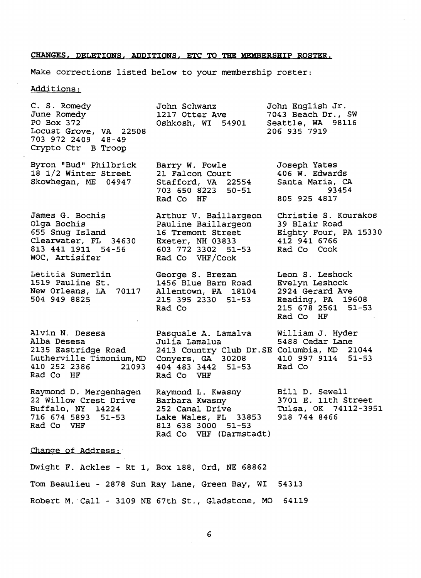#### **CHANGES, DELETIONS, ADDITIONS, ETC TO THE MEMBERSHIP ROSTER.**

Make corrections listed below to your membership roster:

Additions:

C. S. Romedy June Romedy PO Box 372 Locust Grove, VA 22508 703 972 2409 48-49 Crypto Ctr B Troop Byron "Bud" Philbrick 18 1/2 Winter Street Skowhegan, ME 04947 James G. Bochis Olga Bochis 655 Snug Island Clearwater, FL 34630 813 441 1911 54-56 WOC, Artisifer Letitia Sumerlin 1519 Pauline St. New Orleans, LA 70117 504 949 8825 Alvin N. Desesa Alba Desesa 2135 Eastridge Road Lutherville Timonium,MD 410 252 2386 21093 Rad Co HF Raymond D. Mergenhagen 22 Willow Crest Drive Buffalo, NY 14224 716 674 5893 51-53 Rad Co VHF John Schwanz John English Jr.<br>1217 Otter Ave 7043 Beach Dr., 1217 Otter Ave 7043 Beach Dr., SW<br>Oshkosh, WI 54901 Seattle, WA 98116 Seattle, WA 98116 206 935 7919 Barry W. Fowle 21 Falcon Court Stafford, VA 22554 703 650 8223 50-51 Rad Co HF Arthur V. Baillargeon Pauline Baillargeon 16 Tremont Street Exeter, NH 03833 603 772 3302 51-53 Rad Co VHF/Cook George S. Brezan 1456 Blue Barn Road Allentown, PA 18104 215 395 2330 51-53 Rad Co Pasquale A. Lamalva Julia Lamalua 2413 Country Club Dr.SE Conyers, GA 30208 404 483 3442 51-53 Rad Co VHF Raymond L. Kwasny Barbara Kwasny 252 Canal Drive Lake Wales, FL 33853 813 638 3000 51-53 Rad Co VHF (Darmstadt) Joseph Yates 406 W. Edwards Santa Maria, CA 93454 805 925 4817 Christie S. Kourakos 39 Blair Road Eighty Four, PA 15330 412 941 6766 Rad Co Cook Leon S. Leshock Evelyn Leshock 2924 Gerard Ave Reading, PA 19608 215 678 2561 51-53 Rad Co HF William J. Hyder 5488 Cedar Lane Columbia, MD 21044 410 997 9114 51-53 Rad Co Bill D. Sewell 3701 E. 11th Street Tulsa, OK 74112-3951 918 744 8466

#### Change of Address;

Dwight F. Ackles - Rt 1, Box 188, Ord, NE 68862 Tom Beaulieu - 2878 Sun Ray Lane, Green Bay, WI Robert M.. Call - 3109 NE 67th St., Gladstone, MO 54313 64119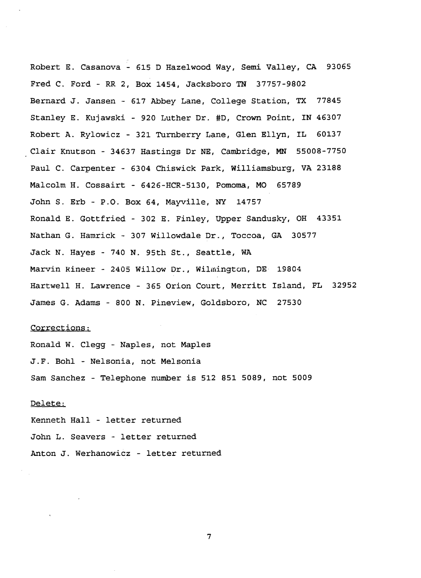Robert E. Casanova - 615 D Hazelwood Way, Semi Valley, CA 93065 Fred C. Ford - RR 2, Box 1454, Jacksboro TN 37757-9802 Bernard J. Jansen - 617 Abbey Lane, College Station, TX 77845 Stanley E. Kujawski - 920 Luther Dr. #D, Crown Point, IN 46307 Robert A. Rylowicz - 321 Turnberry Lane, Glen Ellyn, IL 60137 Clair Knutson - 34637 Hastings Dr NE, Cambridge, MN 55008-7750 Paul C. Carpenter - 6304 Chiswick Park, Williamsburg, VA 23188 Malcolm H. Cossairt - 6426-HCR-5130, Pomoma, MO 65789 John S. Erb - P.O. Box 64, Mayville, NY 14757 Ronald E. Gottfried - 302 E. Finley, Upper Sandusky, OH 43351 Nathan G. Hamrick - 307 Willowdale Dr., Toccoa, GA 30577 Jack N. Hayes - 740 N. 95th St., Seattle, WA Marvin Rineer - 2405 Willow Dr., Wilmington, DE 19804 Hartwell H. Lawrence - 365 Orion Court, Merritt Island, FL 32952 James G. Adams - 800 N. Pineview, Goldsboro, NC 27530

#### Corrections:

Ronald W. Clegg - Naples, not Maples J.F. Bohl - Nelsonia, not Melsonia Sam Sanchez - Telephone number is 512 851 5089, not 5009

#### Delete:

Kenneth Hall - letter returned John L. Seavers - letter returned Anton J. Werhanowicz - letter returned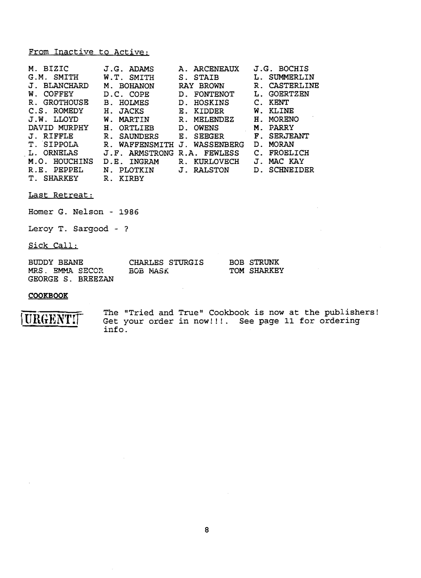#### From Inactive to Active:

| M. BIZIC                         | $J.G.$ ADAMS                               | <b>ARCENEAUX</b><br>А. | J.G. BOCHIS        |
|----------------------------------|--------------------------------------------|------------------------|--------------------|
| SMITH                            | SMITH                                      | <b>STAIB</b>           | SUMMERLIN          |
| G.M.                             | W.T.                                       | S.                     | L.                 |
| <b>BLANCHARD</b>                 | <b>BOHANON</b>                             | RAY BROWN              | CASTERLINE         |
| J.                               | Μ.                                         |                        | $R_{\odot}$        |
| <b>COFFEY</b>                    | D.C. COPE                                  | FONTENOT               | <b>GOERTZEN</b>    |
| W.                               |                                            | D <sub>1</sub>         | ь.                 |
| GROTHOUSE                        | HOLMES                                     | <b>HOSKINS</b>         | KENT               |
| $\mathbf{R}$ .                   | <b>B</b> .                                 | D <sub>1</sub>         | C.                 |
| C.S. ROMEDY                      | Η.                                         | KIDDER                 | KLINE              |
|                                  | <b>JACKS</b>                               | Ε.                     | W.                 |
| J.W. LLOYD                       | MARTIN                                     | $\mathbb{R}$ .         | MORENO             |
|                                  | W.                                         | MELENDEZ               | Η.                 |
| DAVID MURPHY                     | Н.                                         | <b>OWENS</b>           | PARRY              |
|                                  | ORTLIEB                                    | D <sub>1</sub>         | M.                 |
| J. RIFFLE                        | $R_{\odot}$<br><b>SAUNDERS</b>             | Е.<br><b>SEEGER</b>    | <b>F. SERJEANT</b> |
| T. SIPPOLA                       | $R_{\odot}$                                | WASSENBERG             | <b>MORAN</b>       |
|                                  | WAFFENSMITH                                | $J_{\odot}$            | D.                 |
| ORNELAS                          | ARMSTRONG                                  | R.A.                   | FROELICH           |
| $\mathbf{L}$ .                   | $\mathbf{J}$ , $\mathbf{F}$ , $\mathbf{J}$ | FEWLESS                |                    |
| M.O.                             | INGRAM                                     | <b>KURLOVECH</b>       | MAC KAY            |
| HOUCHINS                         | D.E.                                       | R.                     | Л.                 |
| R.E.                             | PLOTKIN                                    | J. RALSTON             | SCHNEIDER          |
| PEPPEL                           | $N_{\odot}$                                |                        | $D_{\perp}$        |
| $\mathbf{T}$ .<br><b>SHARKEY</b> | $\mathbf R$ .<br>KIRBY                     |                        |                    |

Last Retreat:

Homer G. Nelson - 1986

 $\sim$ 

Leroy T. Sargood - ?

Sick Call:

| BUDDY BEANE       |          | CHARLES STURGIS | <b>BOB STRUNK</b> |
|-------------------|----------|-----------------|-------------------|
| MRS. EMMA SECOR   | BOB MASK |                 | TOM SHARKEY       |
| GEORGE S. BREEZAN |          |                 |                   |

 $\sim 10$ 

#### **COOKBOOK**

URGENT

The "Tried and True" Cookbook is now at the publishers! Get your order in now!!!. See page 11 for ordering info.

 $\mathcal{L}$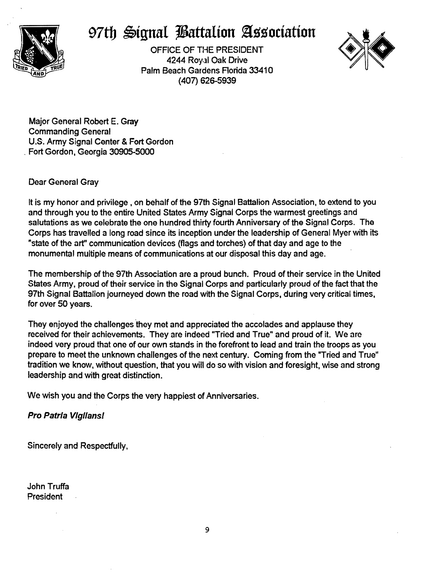

# 97th Signal **Battalion Association**

OFFICE OF THE PRESIDENT 4244 Royal Oak Drive Palm Beach Gardens Florida 33410 (407) 626-5939



Major General Robert E. Gray Commanding General U.S. Army Signal Center & Fort Gordon Fort Gordon, Georgia 30905-5000

### Dear General Gray

It is my honor and privilege, on behalf of the 97th Signal Battalion Association, to extend to you and through you to the entire United States Army Signal Corps the warmest greetings and salutations as we celebrate the one hundred thirty fourth Anniversary of the Signal Corps. The Corps has travelled a long road since its inception under the leadership of General Myer with its "state of the art" communication devices (flags and torches) of that day and age to the monumental multiple means of communications at our disposal this day and age.

The membership of the 97th Association are a proud bunch. Proud of their service in the United States Army, proud of their service in the Signal Corps and particularly proud of the fact that the 97th Signal Battalion journeyed down the road with the Signal Corps, during very critical times, for over 50 years.

They enjoyed the challenges they met and appreciated the accolades and applause they received for their achievements. They are indeed "Tried and True" and proud of it. We are indeed very proud that one of our own stands in the forefront to lead and train the troops as you prepare to meet the unknown challenges of the next century. Coming from the "Tried and True" tradition we know, without question, that you will do so with vision and foresight, wise and strong leadership and with great distinction.

We wish you and the Corps the very happiest of Anniversaries.

## Pro Patrla Vlgllansl

Sincerely and Respectfully.

John Truffa President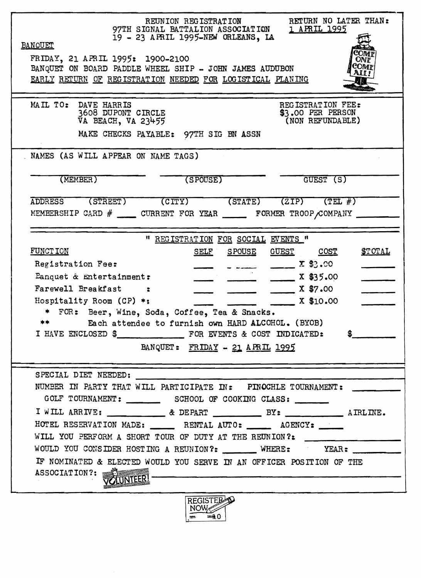| REUNION REGISTRATION RETURN NO LATER THAN:<br>97TH SIGNAL BATTALION ASSOCIATION 1 APRIL 1995<br>BANQUET                                                                                                                                                                                                                                  |  |  |  |  |  |
|------------------------------------------------------------------------------------------------------------------------------------------------------------------------------------------------------------------------------------------------------------------------------------------------------------------------------------------|--|--|--|--|--|
| COM F<br>FRIDAY, 21 APRIL 1995: 1900-2100<br>ONF                                                                                                                                                                                                                                                                                         |  |  |  |  |  |
| COMF)<br>BANQUET ON BOARD PADDLE WHEEL SHIP - JOHN JAMES AUDUBON<br>AII !                                                                                                                                                                                                                                                                |  |  |  |  |  |
| EARLY RETURN OF REGISTRATION NEEDED FOR LOGISTICAL PLANING                                                                                                                                                                                                                                                                               |  |  |  |  |  |
|                                                                                                                                                                                                                                                                                                                                          |  |  |  |  |  |
| MAIL TO: DAVE HARRIS<br>REGISTRATION FEE:<br>3608 DUPONT CIRCLE<br>\$3.00 PER PERSON                                                                                                                                                                                                                                                     |  |  |  |  |  |
| VA BEACH, VA 23455<br>(NON REFUNDABLE)                                                                                                                                                                                                                                                                                                   |  |  |  |  |  |
| MAKE CHECKS PAYABLE: 97TH SIG BN ASSN                                                                                                                                                                                                                                                                                                    |  |  |  |  |  |
| NAMES (AS WILL APPEAR ON NAME TAGS)                                                                                                                                                                                                                                                                                                      |  |  |  |  |  |
| (MEMBER)<br>(SPOUSE)<br>GUEST (S)                                                                                                                                                                                                                                                                                                        |  |  |  |  |  |
|                                                                                                                                                                                                                                                                                                                                          |  |  |  |  |  |
| ADDRESS (STREET) (CITY) (STATE) (ZIP) (TEL #)                                                                                                                                                                                                                                                                                            |  |  |  |  |  |
| MEMBERSHIP CARD $\#$ _______ CURRENT FOR YEAR _________ FORMER TROOP COMPANY _____                                                                                                                                                                                                                                                       |  |  |  |  |  |
|                                                                                                                                                                                                                                                                                                                                          |  |  |  |  |  |
| " REGISTRATION FOR SOCIAL EVENTS "<br>FUNCT ION<br>SELF SPOUSE GUEST COST<br><u>STOTAL</u>                                                                                                                                                                                                                                               |  |  |  |  |  |
| $\frac{1}{2}$ $\frac{1}{2}$ $\frac{1}{2}$ $\frac{1}{2}$ $\frac{1}{2}$ $\frac{1}{2}$ $\frac{1}{2}$ $\frac{1}{2}$ $\frac{1}{2}$ $\frac{1}{2}$ $\frac{1}{2}$ $\frac{1}{2}$ $\frac{1}{2}$ $\frac{1}{2}$ $\frac{1}{2}$ $\frac{1}{2}$ $\frac{1}{2}$ $\frac{1}{2}$ $\frac{1}{2}$ $\frac{1}{2}$ $\frac{1}{2}$ $\frac{1}{2}$<br>Registration Fee: |  |  |  |  |  |
| Panquet & Entertainment:<br>$\frac{1}{2}$ x \$35.00                                                                                                                                                                                                                                                                                      |  |  |  |  |  |
| Farewell Breakfast<br>$\frac{1}{2}$ X \$7.00                                                                                                                                                                                                                                                                                             |  |  |  |  |  |
| X \$10.00<br>Hospitality Room (CP) $*$ :                                                                                                                                                                                                                                                                                                 |  |  |  |  |  |
| * FOR: Beer, Wine, Soda, Coffee, Tea & Snacks.                                                                                                                                                                                                                                                                                           |  |  |  |  |  |
| Each attendee to furnish own HARD ALCOHOL. (BYOB)                                                                                                                                                                                                                                                                                        |  |  |  |  |  |
| $\frac{1}{2}$                                                                                                                                                                                                                                                                                                                            |  |  |  |  |  |
| BANQUET: FRIDAY - 21 APRIL 1995                                                                                                                                                                                                                                                                                                          |  |  |  |  |  |
|                                                                                                                                                                                                                                                                                                                                          |  |  |  |  |  |
| SPECIAL DIET NEEDED:                                                                                                                                                                                                                                                                                                                     |  |  |  |  |  |
| NUMBER IN PARTY THAT WILL PARTICIPATE IN: PINOCHLE TOURNAMENT:                                                                                                                                                                                                                                                                           |  |  |  |  |  |
|                                                                                                                                                                                                                                                                                                                                          |  |  |  |  |  |
| HOTEL RESERVATION MADE: RENTAL AUTO: _____ AGENCY: ____                                                                                                                                                                                                                                                                                  |  |  |  |  |  |
| WILL YOU PERFORM A SHORT TOUR OF DUTY AT THE REUNION?:                                                                                                                                                                                                                                                                                   |  |  |  |  |  |
| WOULD YOU CONSIDER HOSTING A REUNION?: ______ WHERE: YEAR: _____                                                                                                                                                                                                                                                                         |  |  |  |  |  |
| IF NOMINATED & ELECTED WOULD YOU SERVE IN AN OFFICER POSITION OF THE                                                                                                                                                                                                                                                                     |  |  |  |  |  |
| ASSOCIATION?:                                                                                                                                                                                                                                                                                                                            |  |  |  |  |  |
|                                                                                                                                                                                                                                                                                                                                          |  |  |  |  |  |
| REGISTER<br>NOW<br>$\equiv 0$                                                                                                                                                                                                                                                                                                            |  |  |  |  |  |